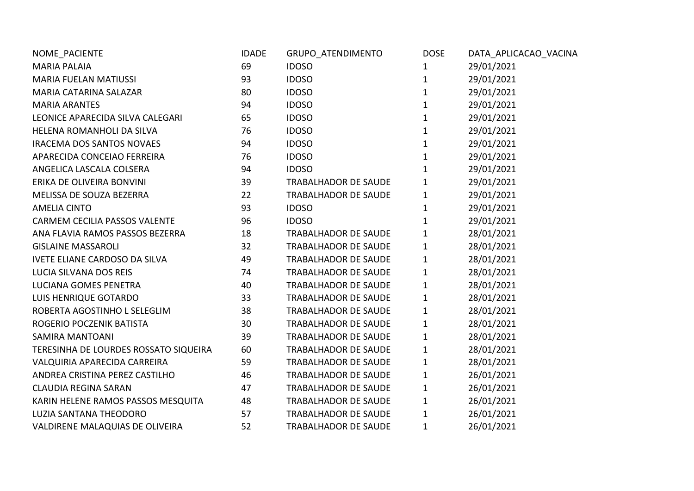| NOME_PACIENTE                         | <b>IDADE</b> | GRUPO_ATENDIMENTO           | <b>DOSE</b>  | DATA_APLICACAO_VACINA |
|---------------------------------------|--------------|-----------------------------|--------------|-----------------------|
| <b>MARIA PALAIA</b>                   | 69           | <b>IDOSO</b>                | 1            | 29/01/2021            |
| <b>MARIA FUELAN MATIUSSI</b>          | 93           | <b>IDOSO</b>                | 1            | 29/01/2021            |
| MARIA CATARINA SALAZAR                | 80           | <b>IDOSO</b>                | $\mathbf{1}$ | 29/01/2021            |
| <b>MARIA ARANTES</b>                  | 94           | <b>IDOSO</b>                | $\mathbf{1}$ | 29/01/2021            |
| LEONICE APARECIDA SILVA CALEGARI      | 65           | <b>IDOSO</b>                | $\mathbf 1$  | 29/01/2021            |
| HELENA ROMANHOLI DA SILVA             | 76           | <b>IDOSO</b>                | $\mathbf{1}$ | 29/01/2021            |
| IRACEMA DOS SANTOS NOVAES             | 94           | <b>IDOSO</b>                | $\mathbf{1}$ | 29/01/2021            |
| APARECIDA CONCEIAO FERREIRA           | 76           | <b>IDOSO</b>                | $\mathbf{1}$ | 29/01/2021            |
| ANGELICA LASCALA COLSERA              | 94           | <b>IDOSO</b>                | $\mathbf 1$  | 29/01/2021            |
| ERIKA DE OLIVEIRA BONVINI             | 39           | <b>TRABALHADOR DE SAUDE</b> | 1            | 29/01/2021            |
| MELISSA DE SOUZA BEZERRA              | 22           | TRABALHADOR DE SAUDE        | $\mathbf 1$  | 29/01/2021            |
| <b>AMELIA CINTO</b>                   | 93           | <b>IDOSO</b>                | $\mathbf{1}$ | 29/01/2021            |
| CARMEM CECILIA PASSOS VALENTE         | 96           | <b>IDOSO</b>                | $\mathbf 1$  | 29/01/2021            |
| ANA FLAVIA RAMOS PASSOS BEZERRA       | 18           | <b>TRABALHADOR DE SAUDE</b> | $\mathbf 1$  | 28/01/2021            |
| <b>GISLAINE MASSAROLI</b>             | 32           | <b>TRABALHADOR DE SAUDE</b> | $\mathbf 1$  | 28/01/2021            |
| <b>IVETE ELIANE CARDOSO DA SILVA</b>  | 49           | <b>TRABALHADOR DE SAUDE</b> | $\mathbf{1}$ | 28/01/2021            |
| LUCIA SILVANA DOS REIS                | 74           | TRABALHADOR DE SAUDE        | $\mathbf{1}$ | 28/01/2021            |
| <b>LUCIANA GOMES PENETRA</b>          | 40           | <b>TRABALHADOR DE SAUDE</b> | $\mathbf 1$  | 28/01/2021            |
| LUIS HENRIQUE GOTARDO                 | 33           | <b>TRABALHADOR DE SAUDE</b> | $\mathbf 1$  | 28/01/2021            |
| ROBERTA AGOSTINHO L SELEGLIM          | 38           | <b>TRABALHADOR DE SAUDE</b> | $\mathbf{1}$ | 28/01/2021            |
| ROGERIO POCZENIK BATISTA              | 30           | <b>TRABALHADOR DE SAUDE</b> | $\mathbf{1}$ | 28/01/2021            |
| <b>SAMIRA MANTOANI</b>                | 39           | <b>TRABALHADOR DE SAUDE</b> | $\mathbf 1$  | 28/01/2021            |
| TERESINHA DE LOURDES ROSSATO SIQUEIRA | 60           | <b>TRABALHADOR DE SAUDE</b> | $\mathbf{1}$ | 28/01/2021            |
| VALQUIRIA APARECIDA CARREIRA          | 59           | <b>TRABALHADOR DE SAUDE</b> | $\mathbf{1}$ | 28/01/2021            |
| ANDREA CRISTINA PEREZ CASTILHO        | 46           | <b>TRABALHADOR DE SAUDE</b> | $\mathbf 1$  | 26/01/2021            |
| <b>CLAUDIA REGINA SARAN</b>           | 47           | TRABALHADOR DE SAUDE        | $\mathbf{1}$ | 26/01/2021            |
| KARIN HELENE RAMOS PASSOS MESQUITA    | 48           | <b>TRABALHADOR DE SAUDE</b> | $\mathbf{1}$ | 26/01/2021            |
| LUZIA SANTANA THEODORO                | 57           | <b>TRABALHADOR DE SAUDE</b> | $\mathbf{1}$ | 26/01/2021            |
| VALDIRENE MALAQUIAS DE OLIVEIRA       | 52           | <b>TRABALHADOR DE SAUDE</b> | $\mathbf{1}$ | 26/01/2021            |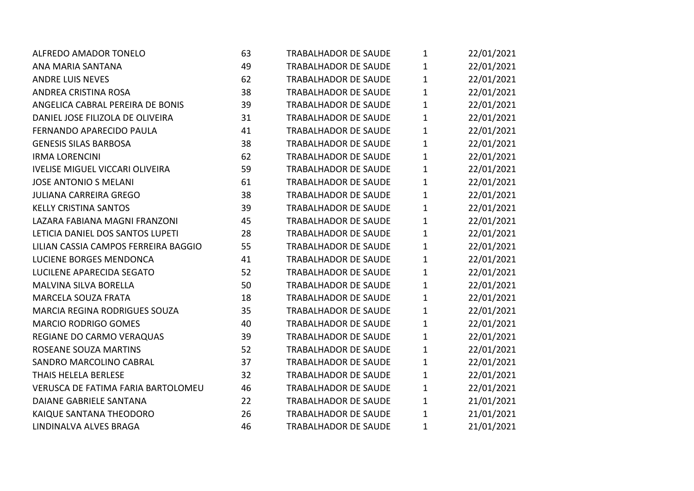| <b>ALFREDO AMADOR TONELO</b>           | 63 | <b>TRABALHADOR DE SAUDE</b> | $\mathbf 1$  | 22/01/2021 |
|----------------------------------------|----|-----------------------------|--------------|------------|
| ANA MARIA SANTANA                      | 49 | <b>TRABALHADOR DE SAUDE</b> | $\mathbf 1$  | 22/01/2021 |
| <b>ANDRE LUIS NEVES</b>                | 62 | <b>TRABALHADOR DE SAUDE</b> | $\mathbf{1}$ | 22/01/2021 |
| ANDREA CRISTINA ROSA                   | 38 | <b>TRABALHADOR DE SAUDE</b> | $\mathbf{1}$ | 22/01/2021 |
| ANGELICA CABRAL PEREIRA DE BONIS       | 39 | <b>TRABALHADOR DE SAUDE</b> | $\mathbf 1$  | 22/01/2021 |
| DANIEL JOSE FILIZOLA DE OLIVEIRA       | 31 | <b>TRABALHADOR DE SAUDE</b> | $\mathbf 1$  | 22/01/2021 |
| FERNANDO APARECIDO PAULA               | 41 | <b>TRABALHADOR DE SAUDE</b> | $\mathbf{1}$ | 22/01/2021 |
| <b>GENESIS SILAS BARBOSA</b>           | 38 | <b>TRABALHADOR DE SAUDE</b> | $\mathbf{1}$ | 22/01/2021 |
| <b>IRMA LORENCINI</b>                  | 62 | <b>TRABALHADOR DE SAUDE</b> | $\mathbf{1}$ | 22/01/2021 |
| <b>IVELISE MIGUEL VICCARI OLIVEIRA</b> | 59 | <b>TRABALHADOR DE SAUDE</b> | $\mathbf 1$  | 22/01/2021 |
| <b>JOSE ANTONIO S MELANI</b>           | 61 | <b>TRABALHADOR DE SAUDE</b> | $\mathbf{1}$ | 22/01/2021 |
| <b>JULIANA CARREIRA GREGO</b>          | 38 | <b>TRABALHADOR DE SAUDE</b> | $\mathbf 1$  | 22/01/2021 |
| <b>KELLY CRISTINA SANTOS</b>           | 39 | <b>TRABALHADOR DE SAUDE</b> | $\mathbf{1}$ | 22/01/2021 |
| LAZARA FABIANA MAGNI FRANZONI          | 45 | <b>TRABALHADOR DE SAUDE</b> | $\mathbf 1$  | 22/01/2021 |
| LETICIA DANIEL DOS SANTOS LUPETI       | 28 | <b>TRABALHADOR DE SAUDE</b> | $\mathbf{1}$ | 22/01/2021 |
| LILIAN CASSIA CAMPOS FERREIRA BAGGIO   | 55 | <b>TRABALHADOR DE SAUDE</b> | $\mathbf{1}$ | 22/01/2021 |
| LUCIENE BORGES MENDONCA                | 41 | <b>TRABALHADOR DE SAUDE</b> | $\mathbf{1}$ | 22/01/2021 |
| LUCILENE APARECIDA SEGATO              | 52 | <b>TRABALHADOR DE SAUDE</b> | $\mathbf 1$  | 22/01/2021 |
| MALVINA SILVA BORELLA                  | 50 | <b>TRABALHADOR DE SAUDE</b> | $\mathbf 1$  | 22/01/2021 |
| <b>MARCELA SOUZA FRATA</b>             | 18 | <b>TRABALHADOR DE SAUDE</b> | $\mathbf{1}$ | 22/01/2021 |
| <b>MARCIA REGINA RODRIGUES SOUZA</b>   | 35 | <b>TRABALHADOR DE SAUDE</b> | $\mathbf{1}$ | 22/01/2021 |
| <b>MARCIO RODRIGO GOMES</b>            | 40 | <b>TRABALHADOR DE SAUDE</b> | $\mathbf 1$  | 22/01/2021 |
| REGIANE DO CARMO VERAQUAS              | 39 | <b>TRABALHADOR DE SAUDE</b> | $\mathbf 1$  | 22/01/2021 |
| ROSEANE SOUZA MARTINS                  | 52 | <b>TRABALHADOR DE SAUDE</b> | $\mathbf{1}$ | 22/01/2021 |
| SANDRO MARCOLINO CABRAL                | 37 | <b>TRABALHADOR DE SAUDE</b> | $\mathbf{1}$ | 22/01/2021 |
| THAIS HELELA BERLESE                   | 32 | <b>TRABALHADOR DE SAUDE</b> | $\mathbf 1$  | 22/01/2021 |
| VERUSCA DE FATIMA FARIA BARTOLOMEU     | 46 | <b>TRABALHADOR DE SAUDE</b> | $\mathbf 1$  | 22/01/2021 |
| DAIANE GABRIELE SANTANA                | 22 | <b>TRABALHADOR DE SAUDE</b> | $\mathbf{1}$ | 21/01/2021 |
| KAIQUE SANTANA THEODORO                | 26 | <b>TRABALHADOR DE SAUDE</b> | $\mathbf 1$  | 21/01/2021 |
| LINDINALVA ALVES BRAGA                 | 46 | <b>TRABALHADOR DE SAUDE</b> | 1            | 21/01/2021 |